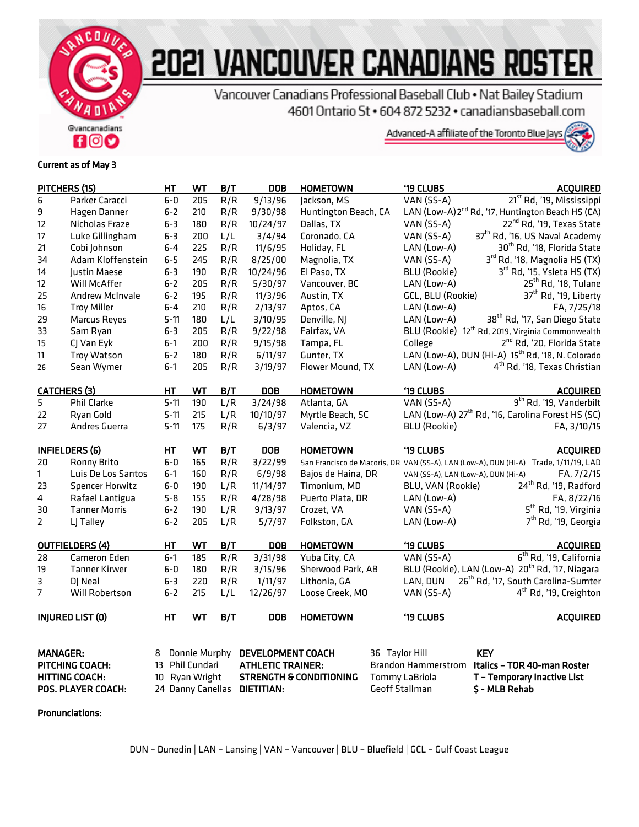

## 2021 VANCOUVER CANADIANS ROSTER

Vancouver Canadians Professional Baseball Club . Nat Bailey Stadium 4601 Ontario St . 604 872 5232 . canadiansbaseball.com



## Current as of May 3

|                                             | PITCHERS (15)          | HT                                                                                        | WT  | B/T | <b>DOB</b>                                       | <b>HOMETOWN</b>              | '19 CLUBS                                      | <b>ACQUIRED</b>                                                                      |
|---------------------------------------------|------------------------|-------------------------------------------------------------------------------------------|-----|-----|--------------------------------------------------|------------------------------|------------------------------------------------|--------------------------------------------------------------------------------------|
| 6                                           | Parker Caracci         | $6 - 0$                                                                                   | 205 | R/R | 9/13/96                                          | Jackson, MS                  | VAN (SS-A)                                     | 21 <sup>st</sup> Rd, '19, Mississippi                                                |
| 9                                           | Hagen Danner           | $6 - 2$                                                                                   | 210 | R/R | 9/30/98                                          | Huntington Beach, CA         |                                                | LAN (Low-A) 2 <sup>nd</sup> Rd, '17, Huntington Beach HS (CA)                        |
| 12                                          | Nicholas Fraze         | $6 - 3$                                                                                   | 180 | R/R | 10/24/97                                         | Dallas, TX                   | VAN (SS-A)                                     | 22 <sup>nd</sup> Rd, '19, Texas State                                                |
| 17                                          | Luke Gillingham        | $6 - 3$                                                                                   | 200 | L/L | 3/4/94                                           | Coronado, CA                 | VAN (SS-A)                                     | 37 <sup>th</sup> Rd, '16, US Naval Academy                                           |
| 21                                          | Cobi Johnson           | $6 - 4$                                                                                   | 225 | R/R | 11/6/95                                          | Holiday, FL                  | LAN (Low-A)                                    | 30 <sup>th</sup> Rd, '18, Florida State                                              |
| 34                                          | Adam Kloffenstein      | $6 - 5$                                                                                   | 245 | R/R | 8/25/00                                          | Magnolia, TX                 | VAN (SS-A)                                     | 3rd Rd, '18, Magnolia HS (TX)                                                        |
| 14                                          | Justin Maese           | $6 - 3$                                                                                   | 190 | R/R | 10/24/96                                         | El Paso, TX                  | <b>BLU (Rookie)</b>                            | 3rd Rd, '15, Ysleta HS (TX)                                                          |
| 12                                          | Will McAffer           | $6 - 2$                                                                                   | 205 | R/R | 5/30/97                                          | Vancouver, BC                | LAN (Low-A)                                    | 25 <sup>th</sup> Rd, '18, Tulane                                                     |
| 25                                          | <b>Andrew McInvale</b> | $6 - 2$                                                                                   | 195 | R/R | 11/3/96                                          | Austin, TX                   | GCL, BLU (Rookie)                              | 37 <sup>th</sup> Rd, '19, Liberty                                                    |
| 16                                          | <b>Troy Miller</b>     | $6 - 4$                                                                                   | 210 | R/R | 2/13/97                                          | Aptos, CA                    | LAN (Low-A)                                    | FA, 7/25/18                                                                          |
| 29                                          | Marcus Reyes           | $5 - 11$                                                                                  | 180 | L/L | 3/10/95                                          | Denville, NJ                 | LAN (Low-A)                                    | 38 <sup>th</sup> Rd, '17, San Diego State                                            |
| 33                                          | Sam Ryan               | $6 - 3$                                                                                   | 205 | R/R | 9/22/98                                          | Fairfax, VA                  |                                                | BLU (Rookie) 12 <sup>th</sup> Rd, 2019, Virginia Commonwealth                        |
| 15                                          | CJ Van Eyk             | $6-1$                                                                                     | 200 | R/R | 9/15/98                                          | Tampa, FL                    | College                                        | 2 <sup>nd</sup> Rd, '20, Florida State                                               |
| 11                                          | <b>Troy Watson</b>     | $6 - 2$                                                                                   | 180 | R/R | 6/11/97                                          | Gunter, TX                   |                                                | LAN (Low-A), DUN (Hi-A) 15 <sup>th</sup> Rd, '18, N. Colorado                        |
| 26                                          | Sean Wymer             | $6 - 1$                                                                                   | 205 | R/R | 3/19/97                                          | Flower Mound, TX             | LAN (Low-A)                                    | 4 <sup>th</sup> Rd, '18, Texas Christian                                             |
| <b>CATCHERS (3)</b>                         |                        | HT                                                                                        | WТ  | B/T | <b>DOB</b>                                       | <b>HOMETOWN</b>              | '19 CLUBS                                      | <b>ACQUIRED</b>                                                                      |
| 5                                           | Phil Clarke            | $5 - 11$                                                                                  | 190 | L/R | 3/24/98                                          | Atlanta, GA                  | VAN (SS-A)                                     | 9 <sup>th</sup> Rd, '19, Vanderbilt                                                  |
| 22                                          | Ryan Gold              | $5 - 11$                                                                                  | 215 | L/R | 10/10/97                                         | Myrtle Beach, SC             |                                                | LAN (Low-A) 27 <sup>th</sup> Rd, '16, Carolina Forest HS (SC)                        |
| 27                                          | Andres Guerra          | $5 - 11$                                                                                  | 175 | R/R | 6/3/97                                           | Valencia, VZ                 | <b>BLU (Rookie)</b>                            | FA, 3/10/15                                                                          |
| <b>INFIELDERS (6)</b>                       |                        | НT                                                                                        | WТ  | B/T | <b>DOB</b>                                       | '19 CLUBS<br><b>HOMETOWN</b> |                                                | <b>ACQUIRED</b>                                                                      |
| 20                                          | Ronny Brito            | $6-0$                                                                                     | 165 | R/R | 3/22/99                                          |                              |                                                | San Francisco de Macoris, DR VAN (SS-A), LAN (Low-A), DUN (Hi-A) Trade, 1/11/19, LAD |
| $\mathbf{1}$                                | Luis De Los Santos     | $6-1$                                                                                     | 160 | R/R | 6/9/98                                           | Bajos de Haina, DR           | VAN (SS-A), LAN (Low-A), DUN (Hi-A)            | FA, 7/2/15                                                                           |
| 23                                          | <b>Spencer Horwitz</b> | $6 - 0$                                                                                   | 190 | L/R | 11/14/97                                         | Timonium, MD                 | BLU, VAN (Rookie)                              | 24 <sup>th</sup> Rd, '19, Radford                                                    |
| 4                                           | Rafael Lantigua        | $5 - 8$                                                                                   | 155 | R/R | 4/28/98                                          | Puerto Plata, DR             | LAN (Low-A)                                    | FA, 8/22/16                                                                          |
| 30                                          | <b>Tanner Morris</b>   | $6 - 2$                                                                                   | 190 | L/R | 9/13/97                                          | Crozet, VA                   | VAN (SS-A)                                     | 5 <sup>th</sup> Rd, '19, Virginia                                                    |
| $\overline{2}$                              | LJ Talley              | $6 - 2$                                                                                   | 205 | L/R | 5/7/97                                           | Folkston, GA                 | LAN (Low-A)                                    | 7 <sup>th</sup> Rd, '19, Georgia                                                     |
|                                             | <b>OUTFIELDERS (4)</b> | HT                                                                                        | WT  | B/T | <b>DOB</b>                                       | <b>HOMETOWN</b>              | '19 CLUBS                                      | <b>ACQUIRED</b>                                                                      |
| 28                                          | Cameron Eden           | $6 - 1$                                                                                   | 185 | R/R | 3/31/98                                          | Yuba City, CA                | VAN (SS-A)                                     | 6 <sup>th</sup> Rd, '19, California                                                  |
| 19                                          | <b>Tanner Kirwer</b>   | $6-0$                                                                                     | 180 | R/R | 3/15/96                                          | Sherwood Park, AB            |                                                | BLU (Rookie), LAN (Low-A) 20 <sup>th</sup> Rd, '17, Niagara                          |
| 3                                           | DJ Neal                | $6 - 3$                                                                                   | 220 | R/R | 1/11/97                                          | Lithonia, GA                 | LAN, DUN                                       | 26 <sup>th</sup> Rd, '17, South Carolina-Sumter                                      |
| $\overline{7}$                              | Will Robertson         | $6 - 2$                                                                                   | 215 | L/L | 12/26/97                                         | Loose Creek, MO              | VAN (SS-A)                                     | 4 <sup>th</sup> Rd, '19, Creighton                                                   |
| <b>INJURED LIST (0)</b>                     |                        | HT                                                                                        | WT  | B/T | <b>DOB</b>                                       | <b>HOMETOWN</b>              | '19 CLUBS                                      | <b>ACQUIRED</b>                                                                      |
| <b>MANAGER:</b><br>PITCHING COACH:          |                        | DEVELOPMENT COACH<br>Donnie Murphy<br>8<br>Phil Cundari<br><b>ATHLETIC TRAINER:</b><br>13 |     |     |                                                  |                              | 36 Taylor Hill<br><b>Brandon Hammerstrom</b>   | <b>KEY</b><br>Italics - TOR 40-man Roster                                            |
| <b>HITTING COACH:</b><br>POS. PLAYER COACH: |                        | Ryan Wright<br>10 <sup>°</sup><br>24 Danny Canellas                                       |     |     | <b>STRENGTH &amp; CONDITIONING</b><br>DIETITIAN: |                              | <b>Tommy LaBriola</b><br><b>Geoff Stallman</b> | T - Temporary Inactive List<br><b>S-MLB Rehab</b>                                    |

## Pronunciations:

POS. PLAYER COACH: 24 Danny Canellas DIETITIAN: